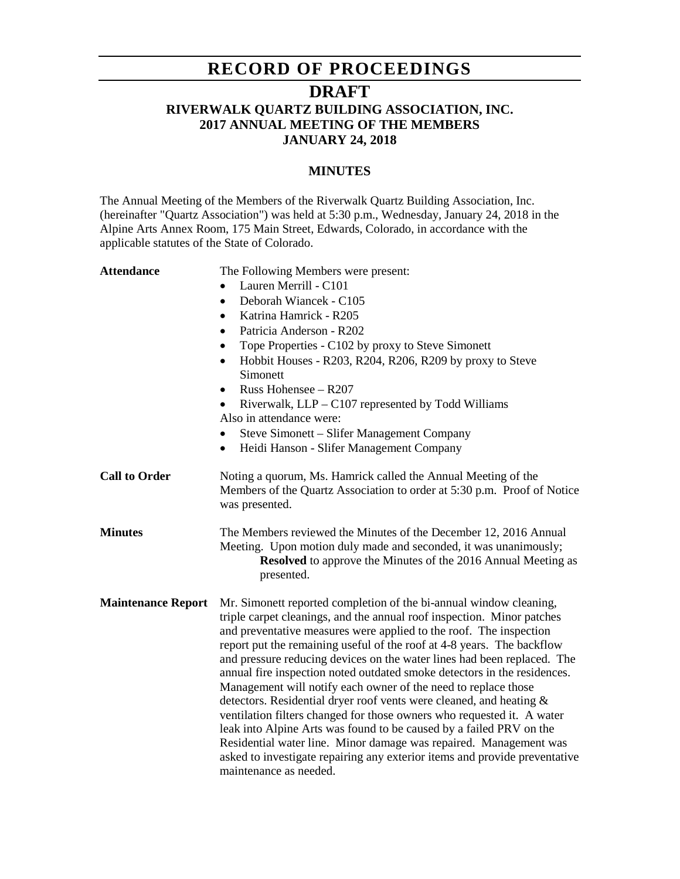# **RECORD OF PROCEEDINGS**

## **DRAFT**

## **RIVERWALK QUARTZ BUILDING ASSOCIATION, INC. 2017 ANNUAL MEETING OF THE MEMBERS JANUARY 24, 2018**

#### **MINUTES**

The Annual Meeting of the Members of the Riverwalk Quartz Building Association, Inc. (hereinafter "Quartz Association") was held at 5:30 p.m., Wednesday, January 24, 2018 in the Alpine Arts Annex Room, 175 Main Street, Edwards, Colorado, in accordance with the applicable statutes of the State of Colorado.

| <b>Attendance</b> | The Following Members were present: |
|-------------------|-------------------------------------|
|                   | • Lauren Merrill - $C101$           |
|                   | Deborah Wiancek - C105              |
|                   | Katrina Hamrick - R205              |
|                   | Patricia Anderson - R202            |
|                   |                                     |

- Tope Properties C102 by proxy to Steve Simonett
- Hobbit Houses R203, R204, R206, R209 by proxy to Steve **Simonett**
- Russ Hohensee R207
- Riverwalk, LLP C107 represented by Todd Williams Also in attendance were:
- Steve Simonett Slifer Management Company
- Heidi Hanson Slifer Management Company
- **Call to Order** Noting a quorum, Ms. Hamrick called the Annual Meeting of the Members of the Quartz Association to order at 5:30 p.m. Proof of Notice was presented.
- **Minutes** The Members reviewed the Minutes of the December 12, 2016 Annual Meeting. Upon motion duly made and seconded, it was unanimously; **Resolved** to approve the Minutes of the 2016 Annual Meeting as presented.
- **Maintenance Report** Mr. Simonett reported completion of the bi-annual window cleaning, triple carpet cleanings, and the annual roof inspection. Minor patches and preventative measures were applied to the roof. The inspection report put the remaining useful of the roof at 4-8 years. The backflow and pressure reducing devices on the water lines had been replaced. The annual fire inspection noted outdated smoke detectors in the residences. Management will notify each owner of the need to replace those detectors. Residential dryer roof vents were cleaned, and heating & ventilation filters changed for those owners who requested it. A water leak into Alpine Arts was found to be caused by a failed PRV on the Residential water line. Minor damage was repaired. Management was asked to investigate repairing any exterior items and provide preventative maintenance as needed.